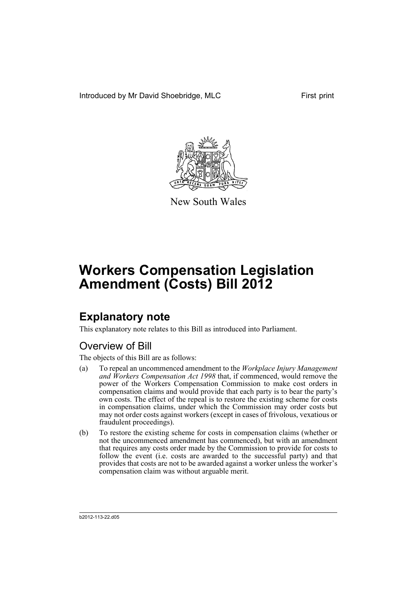Introduced by Mr David Shoebridge, MLC First print



New South Wales

# **Workers Compensation Legislation Amendment (Costs) Bill 2012**

## **Explanatory note**

This explanatory note relates to this Bill as introduced into Parliament.

## Overview of Bill

The objects of this Bill are as follows:

- (a) To repeal an uncommenced amendment to the *Workplace Injury Management and Workers Compensation Act 1998* that, if commenced, would remove the power of the Workers Compensation Commission to make cost orders in compensation claims and would provide that each party is to bear the party's own costs. The effect of the repeal is to restore the existing scheme for costs in compensation claims, under which the Commission may order costs but may not order costs against workers (except in cases of frivolous, vexatious or fraudulent proceedings).
- (b) To restore the existing scheme for costs in compensation claims (whether or not the uncommenced amendment has commenced), but with an amendment that requires any costs order made by the Commission to provide for costs to follow the event (i.e. costs are awarded to the successful party) and that provides that costs are not to be awarded against a worker unless the worker's compensation claim was without arguable merit.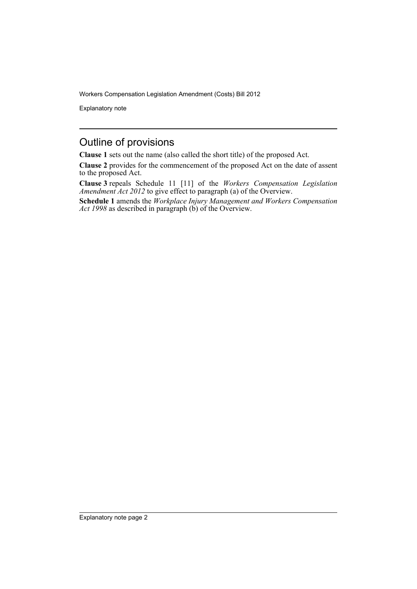Explanatory note

## Outline of provisions

**Clause 1** sets out the name (also called the short title) of the proposed Act.

**Clause 2** provides for the commencement of the proposed Act on the date of assent to the proposed Act.

**Clause 3** repeals Schedule 11 [11] of the *Workers Compensation Legislation Amendment Act 2012* to give effect to paragraph (a) of the Overview.

**Schedule 1** amends the *Workplace Injury Management and Workers Compensation Act 1998* as described in paragraph (b) of the Overview.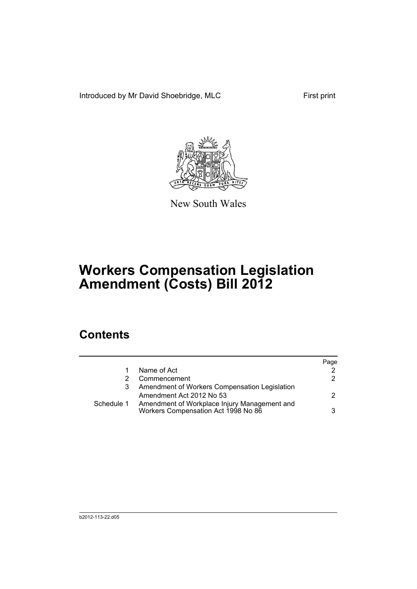Introduced by Mr David Shoebridge, MLC First print



New South Wales

# **Workers Compensation Legislation Amendment (Costs) Bill 2012**

## **Contents**

|   |                                                                                                | Page |
|---|------------------------------------------------------------------------------------------------|------|
|   | Name of Act                                                                                    | 2    |
| 2 | Commencement                                                                                   | 2.   |
| 3 | Amendment of Workers Compensation Legislation                                                  |      |
|   | Amendment Act 2012 No 53                                                                       | 2.   |
|   | Schedule 1 Amendment of Workplace Injury Management and<br>Workers Compensation Act 1998 No 86 | 3    |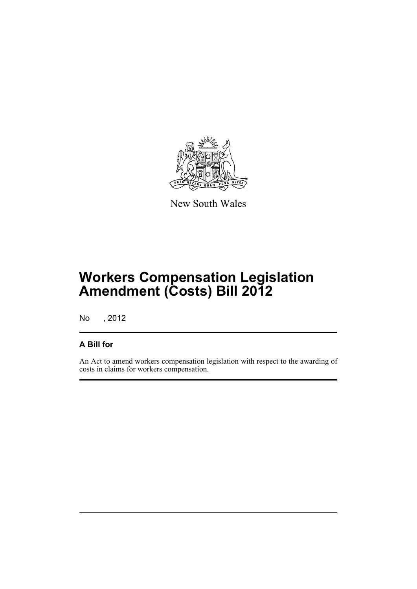

New South Wales

# **Workers Compensation Legislation Amendment (Costs) Bill 2012**

No , 2012

## **A Bill for**

An Act to amend workers compensation legislation with respect to the awarding of costs in claims for workers compensation.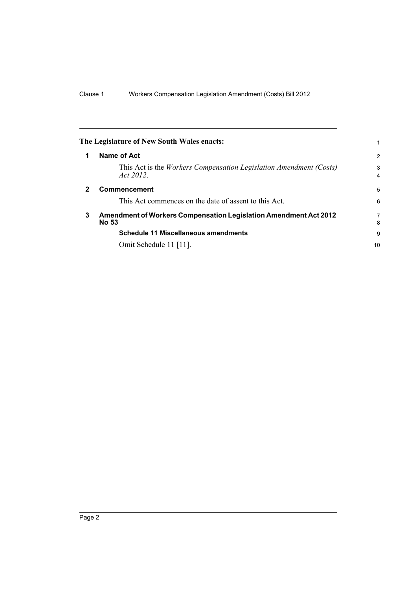<span id="page-5-2"></span><span id="page-5-1"></span><span id="page-5-0"></span>

|              | The Legislature of New South Wales enacts:                                       |                     |
|--------------|----------------------------------------------------------------------------------|---------------------|
| 1            | Name of Act                                                                      | 2                   |
|              | This Act is the Workers Compensation Legislation Amendment (Costs)<br>Act 2012.  | 3<br>$\overline{4}$ |
| $\mathbf{2}$ | <b>Commencement</b>                                                              |                     |
|              | This Act commences on the date of assent to this Act.                            | 6                   |
| 3            | Amendment of Workers Compensation Legislation Amendment Act 2012<br><b>No 53</b> |                     |
|              | Schedule 11 Miscellaneous amendments                                             | 9                   |
|              | Omit Schedule 11 [11].                                                           | 10                  |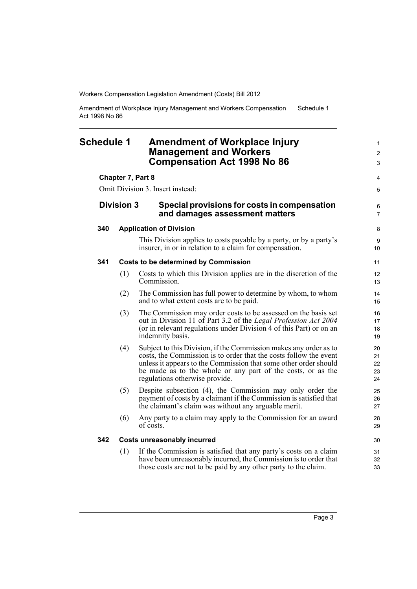Amendment of Workplace Injury Management and Workers Compensation Act 1998 No 86 Schedule 1

## <span id="page-6-0"></span>**Schedule 1 Amendment of Workplace Injury Management and Workers Compensation Act 1998 No 86**

#### **Chapter 7, Part 8**

Omit Division 3. Insert instead:

### **Division 3 Special provisions for costs in compensation and damages assessment matters**

#### **340 Application of Division**

This Division applies to costs payable by a party, or by a party's insurer, in or in relation to a claim for compensation.

#### **341 Costs to be determined by Commission**

- (1) Costs to which this Division applies are in the discretion of the Commission.
- (2) The Commission has full power to determine by whom, to whom and to what extent costs are to be paid.
- (3) The Commission may order costs to be assessed on the basis set out in Division 11 of Part 3.2 of the *Legal Profession Act 2004* (or in relevant regulations under Division 4 of this Part) or on an indemnity basis.
- (4) Subject to this Division, if the Commission makes any order as to costs, the Commission is to order that the costs follow the event unless it appears to the Commission that some other order should be made as to the whole or any part of the costs, or as the regulations otherwise provide.
- (5) Despite subsection (4), the Commission may only order the payment of costs by a claimant if the Commission is satisfied that the claimant's claim was without any arguable merit.
- (6) Any party to a claim may apply to the Commission for an award of costs.

### **342 Costs unreasonably incurred**

(1) If the Commission is satisfied that any party's costs on a claim have been unreasonably incurred, the Commission is to order that those costs are not to be paid by any other party to the claim.

1  $\mathfrak{p}$ 3

4 5

6 7

8 **9**  $10$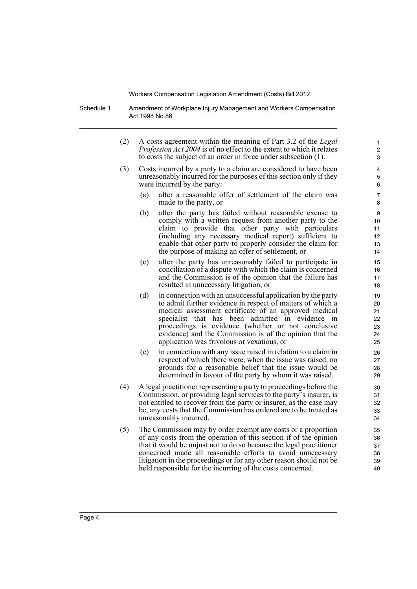Schedule 1 Amendment of Workplace Injury Management and Workers Compensation Act 1998 No 86

- (2) A costs agreement within the meaning of Part 3.2 of the *Legal Profession Act 2004* is of no effect to the extent to which it relates to costs the subject of an order in force under subsection (1).
- (3) Costs incurred by a party to a claim are considered to have been unreasonably incurred for the purposes of this section only if they were incurred by the party:
	- (a) after a reasonable offer of settlement of the claim was made to the party, or

- (b) after the party has failed without reasonable excuse to comply with a written request from another party to the claim to provide that other party with particulars (including any necessary medical report) sufficient to enable that other party to properly consider the claim for the purpose of making an offer of settlement, or
- (c) after the party has unreasonably failed to participate in conciliation of a dispute with which the claim is concerned and the Commission is of the opinion that the failure has resulted in unnecessary litigation, or
- (d) in connection with an unsuccessful application by the party to admit further evidence in respect of matters of which a medical assessment certificate of an approved medical specialist that has been admitted in evidence in proceedings is evidence (whether or not conclusive evidence) and the Commission is of the opinion that the application was frivolous or vexatious, or
- (e) in connection with any issue raised in relation to a claim in respect of which there were, when the issue was raised, no grounds for a reasonable belief that the issue would be determined in favour of the party by whom it was raised.
- (4) A legal practitioner representing a party to proceedings before the Commission, or providing legal services to the party's insurer, is not entitled to recover from the party or insurer, as the case may be, any costs that the Commission has ordered are to be treated as unreasonably incurred.
- (5) The Commission may by order exempt any costs or a proportion of any costs from the operation of this section if of the opinion that it would be unjust not to do so because the legal practitioner concerned made all reasonable efforts to avoid unnecessary litigation in the proceedings or for any other reason should not be held responsible for the incurring of the costs concerned.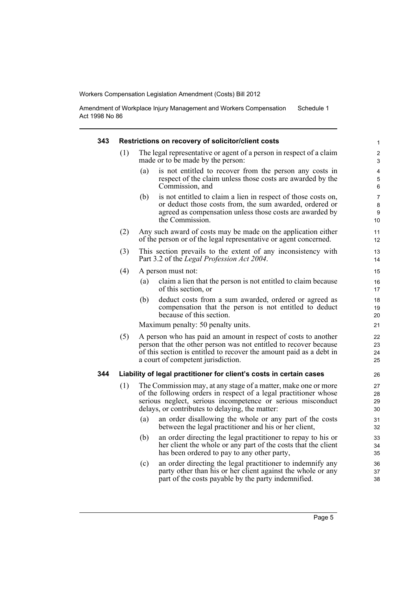Amendment of Workplace Injury Management and Workers Compensation Act 1998 No 86 Schedule 1

| 343 |     | Restrictions on recovery of solicitor/client costs                                                                                                                                                                                                   | $\mathbf{1}$          |
|-----|-----|------------------------------------------------------------------------------------------------------------------------------------------------------------------------------------------------------------------------------------------------------|-----------------------|
|     | (1) | The legal representative or agent of a person in respect of a claim<br>made or to be made by the person:                                                                                                                                             | $\overline{2}$<br>3   |
|     |     | (a)<br>is not entitled to recover from the person any costs in<br>respect of the claim unless those costs are awarded by the<br>Commission, and                                                                                                      | 4<br>5<br>6           |
|     |     | (b)<br>is not entitled to claim a lien in respect of those costs on,<br>or deduct those costs from, the sum awarded, ordered or<br>agreed as compensation unless those costs are awarded by<br>the Commission.                                       | 7<br>8<br>9<br>10     |
|     | (2) | Any such award of costs may be made on the application either<br>of the person or of the legal representative or agent concerned.                                                                                                                    | 11<br>12 <sup>2</sup> |
|     | (3) | This section prevails to the extent of any inconsistency with<br>Part 3.2 of the Legal Profession Act 2004.                                                                                                                                          | 13<br>14              |
|     | (4) | A person must not:                                                                                                                                                                                                                                   | 15                    |
|     |     | claim a lien that the person is not entitled to claim because<br>(a)<br>of this section, or                                                                                                                                                          | 16<br>17              |
|     |     | deduct costs from a sum awarded, ordered or agreed as<br>(b)<br>compensation that the person is not entitled to deduct<br>because of this section.                                                                                                   | 18<br>19<br>20        |
|     |     | Maximum penalty: 50 penalty units.                                                                                                                                                                                                                   | 21                    |
|     | (5) | A person who has paid an amount in respect of costs to another<br>person that the other person was not entitled to recover because<br>of this section is entitled to recover the amount paid as a debt in<br>a court of competent jurisdiction.      | 22<br>23<br>24<br>25  |
| 344 |     | Liability of legal practitioner for client's costs in certain cases                                                                                                                                                                                  | 26                    |
|     | (1) | The Commission may, at any stage of a matter, make one or more<br>of the following orders in respect of a legal practitioner whose<br>serious neglect, serious incompetence or serious misconduct<br>delays, or contributes to delaying, the matter: | 27<br>28<br>29<br>30  |
|     |     | (a)<br>an order disallowing the whole or any part of the costs<br>between the legal practitioner and his or her client,                                                                                                                              | 31<br>32              |
|     |     | (b)<br>an order directing the legal practitioner to repay to his or<br>her client the whole or any part of the costs that the client<br>has been ordered to pay to any other party,                                                                  | 33<br>34<br>35        |
|     |     | an order directing the legal practitioner to indemnify any<br>(c)<br>party other than his or her client against the whole or any<br>part of the costs payable by the party indemnified.                                                              | 36<br>37<br>38        |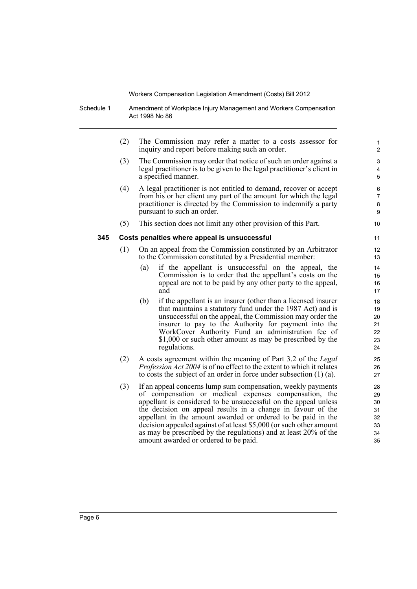Schedule 1 Amendment of Workplace Injury Management and Workers Compensation Act 1998 No 86

> (2) The Commission may refer a matter to a costs assessor for inquiry and report before making such an order.

- (3) The Commission may order that notice of such an order against a legal practitioner is to be given to the legal practitioner's client in a specified manner.
- (4) A legal practitioner is not entitled to demand, recover or accept from his or her client any part of the amount for which the legal practitioner is directed by the Commission to indemnify a party pursuant to such an order.
- (5) This section does not limit any other provision of this Part.

#### **345 Costs penalties where appeal is unsuccessful**

- (1) On an appeal from the Commission constituted by an Arbitrator to the Commission constituted by a Presidential member:
	- (a) if the appellant is unsuccessful on the appeal, the Commission is to order that the appellant's costs on the appeal are not to be paid by any other party to the appeal, and
	- (b) if the appellant is an insurer (other than a licensed insurer that maintains a statutory fund under the 1987 Act) and is unsuccessful on the appeal, the Commission may order the insurer to pay to the Authority for payment into the WorkCover Authority Fund an administration fee of \$1,000 or such other amount as may be prescribed by the regulations.
- (2) A costs agreement within the meaning of Part 3.2 of the *Legal Profession Act 2004* is of no effect to the extent to which it relates to costs the subject of an order in force under subsection (1) (a).
- (3) If an appeal concerns lump sum compensation, weekly payments of compensation or medical expenses compensation, the appellant is considered to be unsuccessful on the appeal unless the decision on appeal results in a change in favour of the appellant in the amount awarded or ordered to be paid in the decision appealed against of at least \$5,000 (or such other amount as may be prescribed by the regulations) and at least 20% of the amount awarded or ordered to be paid.